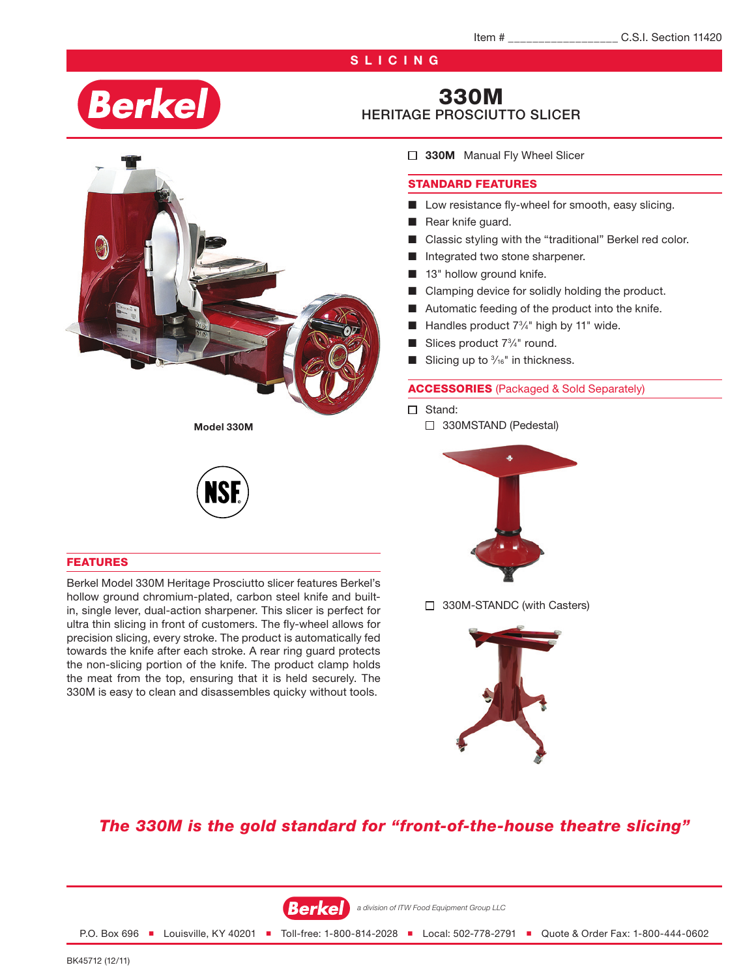# **SLICING**

# **Berkel**

# 330M HERITAGE PROSCIUTTO SLICER



Model 330M

#### FEATURES

Berkel Model 330M Heritage Prosciutto slicer features Berkel's hollow ground chromium-plated, carbon steel knife and builtin, single lever, dual-action sharpener. This slicer is perfect for ultra thin slicing in front of customers. The fly-wheel allows for precision slicing, every stroke. The product is automatically fed towards the knife after each stroke. A rear ring guard protects the non-slicing portion of the knife. The product clamp holds the meat from the top, ensuring that it is held securely. The 330M is easy to clean and disassembles quicky without tools.

□ 330M Manual Fly Wheel Slicer

#### STANDARD FEATURES

- Low resistance fly-wheel for smooth, easy slicing.
- Rear knife guard.
- Classic styling with the "traditional" Berkel red color.
- Integrated two stone sharpener.
- 13" hollow ground knife.
- Clamping device for solidly holding the product.
- Automatic feeding of the product into the knife.
- $\blacksquare$  Handles product  $7\frac{3}{4}$ " high by 11" wide.
- **B** Slices product  $7\frac{3}{4}$ " round.
- $\blacksquare$  Slicing up to  $\frac{3}{16}$ " in thickness.

#### ACCESSORIES (Packaged & Sold Separately)

- □ Stand:
	- □ 330MSTAND (Pedestal)



□ 330M-STANDC (with Casters)



# *The 330M is the gold standard for "front-of-the-house theatre slicing"*



P.O. Box 696 ■ Louisville, KY 40201 ■ Toll-free: 1-800-814-2028 ■ Local: 502-778-2791 ■ Quote & Order Fax: 1-800-444-0602